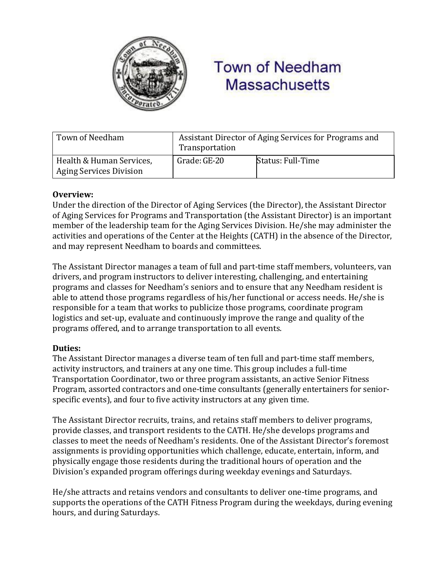

# **Town of Needham Massachusetts**

| Town of Needham                                            | Assistant Director of Aging Services for Programs and<br>Transportation |                   |
|------------------------------------------------------------|-------------------------------------------------------------------------|-------------------|
| Health & Human Services,<br><b>Aging Services Division</b> | Grade: GE-20                                                            | Status: Full-Time |

### **Overview:**

Under the direction of the Director of Aging Services (the Director), the Assistant Director of Aging Services for Programs and Transportation (the Assistant Director) is an important member of the leadership team for the Aging Services Division. He/she may administer the activities and operations of the Center at the Heights (CATH) in the absence of the Director, and may represent Needham to boards and committees.

The Assistant Director manages a team of full and part-time staff members, volunteers, van drivers, and program instructors to deliver interesting, challenging, and entertaining programs and classes for Needham's seniors and to ensure that any Needham resident is able to attend those programs regardless of his/her functional or access needs. He/she is responsible for a team that works to publicize those programs, coordinate program logistics and set-up, evaluate and continuously improve the range and quality of the programs offered, and to arrange transportation to all events.

#### **Duties:**

The Assistant Director manages a diverse team of ten full and part-time staff members, activity instructors, and trainers at any one time. This group includes a full-time Transportation Coordinator, two or three program assistants, an active Senior Fitness Program, assorted contractors and one-time consultants (generally entertainers for seniorspecific events), and four to five activity instructors at any given time.

The Assistant Director recruits, trains, and retains staff members to deliver programs, provide classes, and transport residents to the CATH. He/she develops programs and classes to meet the needs of Needham's residents. One of the Assistant Director's foremost assignments is providing opportunities which challenge, educate, entertain, inform, and physically engage those residents during the traditional hours of operation and the Division's expanded program offerings during weekday evenings and Saturdays.

He/she attracts and retains vendors and consultants to deliver one-time programs, and supports the operations of the CATH Fitness Program during the weekdays, during evening hours, and during Saturdays.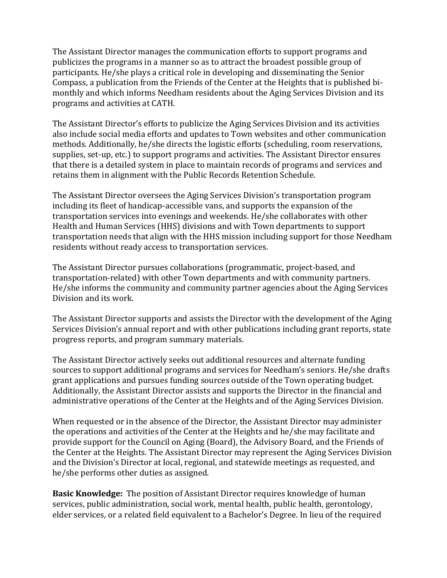The Assistant Director manages the communication efforts to support programs and publicizes the programs in a manner so as to attract the broadest possible group of participants. He/she plays a critical role in developing and disseminating the Senior Compass, a publication from the Friends of the Center at the Heights that is published bimonthly and which informs Needham residents about the Aging Services Division and its programs and activities at CATH.

The Assistant Director's efforts to publicize the Aging Services Division and its activities also include social media efforts and updates to Town websites and other communication methods. Additionally, he/she directs the logistic efforts (scheduling, room reservations, supplies, set-up, etc.) to support programs and activities. The Assistant Director ensures that there is a detailed system in place to maintain records of programs and services and retains them in alignment with the Public Records Retention Schedule.

The Assistant Director oversees the Aging Services Division's transportation program including its fleet of handicap-accessible vans, and supports the expansion of the transportation services into evenings and weekends. He/she collaborates with other Health and Human Services (HHS) divisions and with Town departments to support transportation needs that align with the HHS mission including support for those Needham residents without ready access to transportation services.

The Assistant Director pursues collaborations (programmatic, project-based, and transportation-related) with other Town departments and with community partners. He/she informs the community and community partner agencies about the Aging Services Division and its work.

The Assistant Director supports and assists the Director with the development of the Aging Services Division's annual report and with other publications including grant reports, state progress reports, and program summary materials.

The Assistant Director actively seeks out additional resources and alternate funding sources to support additional programs and services for Needham's seniors. He/she drafts grant applications and pursues funding sources outside of the Town operating budget. Additionally, the Assistant Director assists and supports the Director in the financial and administrative operations of the Center at the Heights and of the Aging Services Division.

When requested or in the absence of the Director, the Assistant Director may administer the operations and activities of the Center at the Heights and he/she may facilitate and provide support for the Council on Aging (Board), the Advisory Board, and the Friends of the Center at the Heights. The Assistant Director may represent the Aging Services Division and the Division's Director at local, regional, and statewide meetings as requested, and he/she performs other duties as assigned.

**Basic Knowledge:** The position of Assistant Director requires knowledge of human services, public administration, social work, mental health, public health, gerontology, elder services, or a related field equivalent to a Bachelor's Degree. In lieu of the required